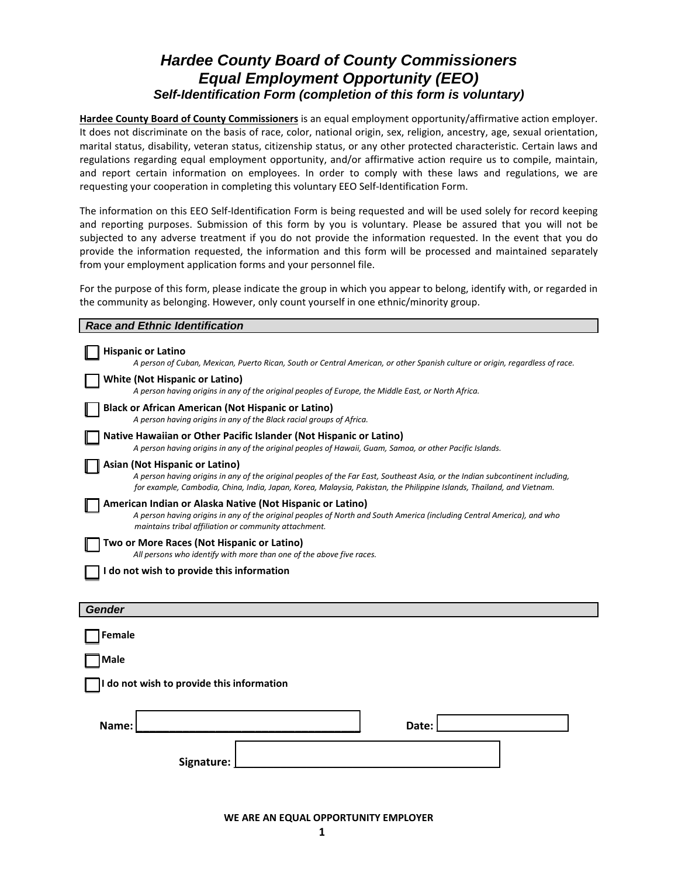#### *Hardee County Board of County Commissioners Equal Employment Opportunity (EEO) Self-Identification Form (completion of this form is voluntary)*

**Hardee County Board of County Commissioners** is an equal employment opportunity/affirmative action employer. It does not discriminate on the basis of race, color, national origin, sex, religion, ancestry, age, sexual orientation, marital status, disability, veteran status, citizenship status, or any other protected characteristic. Certain laws and regulations regarding equal employment opportunity, and/or affirmative action require us to compile, maintain, and report certain information on employees. In order to comply with these laws and regulations, we are requesting your cooperation in completing this voluntary EEO Self-Identification Form.

The information on this EEO Self-Identification Form is being requested and will be used solely for record keeping and reporting purposes. Submission of this form by you is voluntary. Please be assured that you will not be subjected to any adverse treatment if you do not provide the information requested. In the event that you do provide the information requested, the information and this form will be processed and maintained separately from your employment application forms and your personnel file.

For the purpose of this form, please indicate the group in which you appear to belong, identify with, or regarded in the community as belonging. However, only count yourself in one ethnic/minority group.

| <b>Race and Ethnic Identification</b>                                                                                                                                                                                                                                                    |  |  |  |  |
|------------------------------------------------------------------------------------------------------------------------------------------------------------------------------------------------------------------------------------------------------------------------------------------|--|--|--|--|
| <b>Hispanic or Latino</b><br>A person of Cuban, Mexican, Puerto Rican, South or Central American, or other Spanish culture or origin, regardless of race.                                                                                                                                |  |  |  |  |
| <b>White (Not Hispanic or Latino)</b><br>A person having origins in any of the original peoples of Europe, the Middle East, or North Africa.                                                                                                                                             |  |  |  |  |
| <b>Black or African American (Not Hispanic or Latino)</b><br>A person having origins in any of the Black racial groups of Africa.                                                                                                                                                        |  |  |  |  |
| Native Hawaiian or Other Pacific Islander (Not Hispanic or Latino)<br>A person having origins in any of the original peoples of Hawaii, Guam, Samoa, or other Pacific Islands.                                                                                                           |  |  |  |  |
| Asian (Not Hispanic or Latino)<br>A person having origins in any of the original peoples of the Far East, Southeast Asia, or the Indian subcontinent including,<br>for example, Cambodia, China, India, Japan, Korea, Malaysia, Pakistan, the Philippine Islands, Thailand, and Vietnam. |  |  |  |  |
| American Indian or Alaska Native (Not Hispanic or Latino)<br>A person having origins in any of the original peoples of North and South America (including Central America), and who<br>maintains tribal affiliation or community attachment.                                             |  |  |  |  |
| Two or More Races (Not Hispanic or Latino)<br>All persons who identify with more than one of the above five races.                                                                                                                                                                       |  |  |  |  |
| do not wish to provide this information                                                                                                                                                                                                                                                  |  |  |  |  |
|                                                                                                                                                                                                                                                                                          |  |  |  |  |
| <b>Gender</b>                                                                                                                                                                                                                                                                            |  |  |  |  |
| Female                                                                                                                                                                                                                                                                                   |  |  |  |  |
| Male                                                                                                                                                                                                                                                                                     |  |  |  |  |
| do not wish to provide this information                                                                                                                                                                                                                                                  |  |  |  |  |
| Name:<br>Date:                                                                                                                                                                                                                                                                           |  |  |  |  |
| Signature:                                                                                                                                                                                                                                                                               |  |  |  |  |

**WE ARE AN EQUAL OPPORTUNITY EMPLOYER**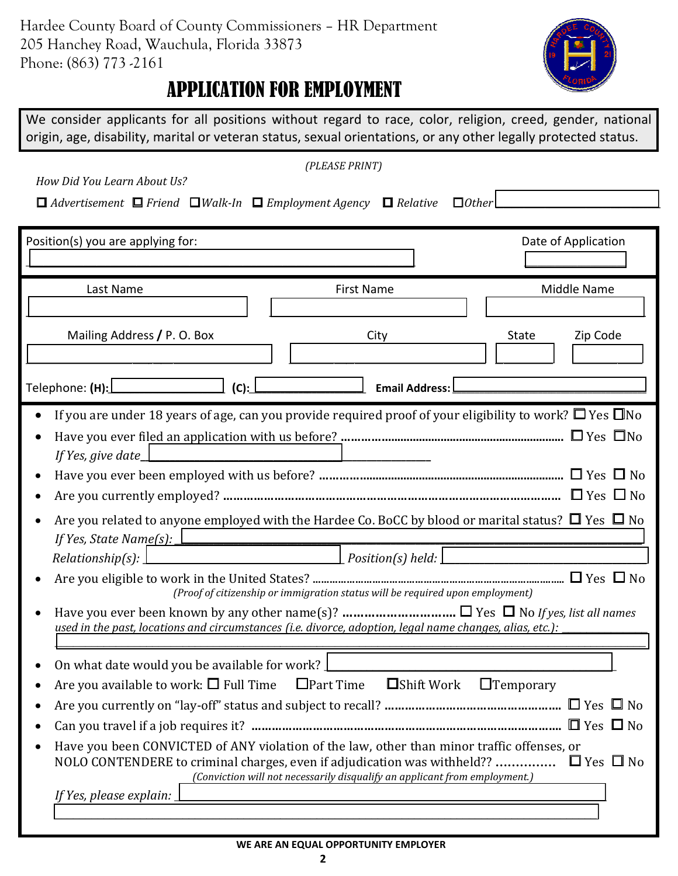

## APPLICATION FOR EMPLOYMENT

We consider applicants for all positions without regard to race, color, religion, creed, gender, national origin, age, disability, marital or veteran status, sexual orientations, or any other legally protected status.

| (PLEASE PRINT)                                                                                             |                                                                                                                    |                     |  |  |
|------------------------------------------------------------------------------------------------------------|--------------------------------------------------------------------------------------------------------------------|---------------------|--|--|
| How Did You Learn About Us?                                                                                |                                                                                                                    |                     |  |  |
| $\Box$ Advertisement $\Box$ Friend $\Box$ Walk-In $\Box$ Employment Agency $\Box$ Relative<br>$\Box$ Other |                                                                                                                    |                     |  |  |
|                                                                                                            |                                                                                                                    |                     |  |  |
| Position(s) you are applying for:                                                                          |                                                                                                                    | Date of Application |  |  |
|                                                                                                            |                                                                                                                    |                     |  |  |
| Last Name                                                                                                  | <b>First Name</b>                                                                                                  | Middle Name         |  |  |
|                                                                                                            |                                                                                                                    |                     |  |  |
| Mailing Address / P. O. Box                                                                                | City                                                                                                               | Zip Code<br>State   |  |  |
|                                                                                                            |                                                                                                                    |                     |  |  |
| Telephone: (H):L<br>(C):                                                                                   | <b>Email Address:</b>                                                                                              |                     |  |  |
|                                                                                                            | If you are under 18 years of age, can you provide required proof of your eligibility to work? $\Box$ Yes $\Box$ No |                     |  |  |
|                                                                                                            |                                                                                                                    |                     |  |  |
| If Yes, give date_                                                                                         |                                                                                                                    |                     |  |  |
|                                                                                                            |                                                                                                                    |                     |  |  |
|                                                                                                            |                                                                                                                    |                     |  |  |
|                                                                                                            | Are you related to anyone employed with the Hardee Co. BoCC by blood or marital status? $\Box$ Yes $\Box$ No       |                     |  |  |
| If Yes, State Name(s): $\bot$                                                                              |                                                                                                                    |                     |  |  |
| Relationship(s): $\perp$                                                                                   |                                                                                                                    |                     |  |  |
| (Proof of citizenship or immigration status will be required upon employment)                              |                                                                                                                    |                     |  |  |
|                                                                                                            |                                                                                                                    |                     |  |  |
| used in the past, locations and circumstances (i.e. divorce, adoption, legal name changes, alias, etc.):   |                                                                                                                    |                     |  |  |
| On what date would you be available for work?                                                              |                                                                                                                    |                     |  |  |
|                                                                                                            | Are you available to work: $\square$ Full Time $\square$ Part Time $\square$ Shift Work                            | $\Box$ Temporary    |  |  |
|                                                                                                            |                                                                                                                    |                     |  |  |
|                                                                                                            |                                                                                                                    |                     |  |  |
| Have you been CONVICTED of ANY violation of the law, other than minor traffic offenses, or                 |                                                                                                                    |                     |  |  |
| NOLO CONTENDERE to criminal charges, even if adjudication was withheld?? $\Box$ Yes $\Box$ No              |                                                                                                                    |                     |  |  |
| (Conviction will not necessarily disqualify an applicant from employment.)                                 |                                                                                                                    |                     |  |  |
| If Yes, please explain:                                                                                    |                                                                                                                    |                     |  |  |
|                                                                                                            |                                                                                                                    |                     |  |  |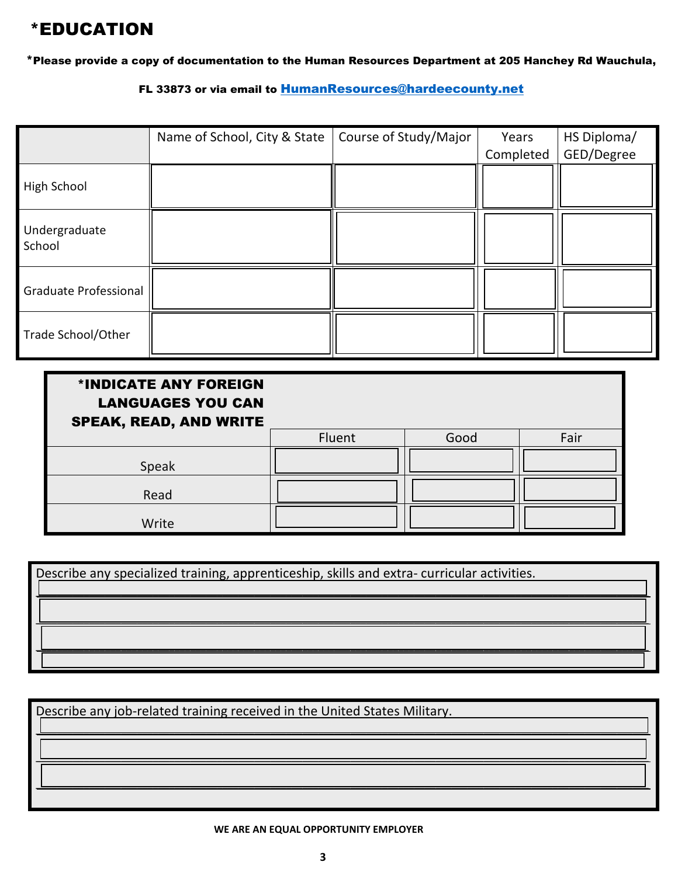## \*EDUCATION

\*Please provide a copy of documentation to the Human Resources Department at 205 Hanchey Rd Wauchula,

FL 33873 or via email to [HumanResources@hardeecounty.net](mailto:HumanResources@hardeecounty.net)

|                         | Name of School, City & State | Course of Study/Major | Years<br>Completed | HS Diploma/<br>GED/Degree |
|-------------------------|------------------------------|-----------------------|--------------------|---------------------------|
| High School             |                              |                       |                    |                           |
| Undergraduate<br>School |                              |                       |                    |                           |
| Graduate Professional   |                              |                       |                    |                           |
| Trade School/Other      |                              |                       |                    |                           |

| *INDICATE ANY FOREIGN<br><b>LANGUAGES YOU CAN</b><br><b>SPEAK, READ, AND WRITE</b> |        |      |      |
|------------------------------------------------------------------------------------|--------|------|------|
|                                                                                    | Fluent | Good | Fair |
| Speak                                                                              |        |      |      |
| Read                                                                               |        |      |      |
| Write                                                                              |        |      |      |

| Describe any specialized training, apprenticeship, skills and extra-curricular activities. |  |  |  |  |
|--------------------------------------------------------------------------------------------|--|--|--|--|
|                                                                                            |  |  |  |  |
|                                                                                            |  |  |  |  |
|                                                                                            |  |  |  |  |
|                                                                                            |  |  |  |  |

*\_\_\_\_\_\_\_\_\_\_\_\_\_\_\_\_\_\_\_\_\_\_\_\_\_\_\_\_\_\_\_\_\_\_\_\_\_\_\_\_\_\_\_\_\_\_\_\_\_\_\_\_\_\_\_\_\_\_\_\_\_\_\_\_\_\_\_\_\_\_\_\_\_\_\_\_\_\_\_\_\_\_\_\_\_\_\_\_\_\_\_\_\_\_\_\_\_\_\_\_\_\_\_\_\_\_\_\_\_\_\_\_\_\_\_*

*\_\_\_\_\_\_\_\_\_\_\_\_\_\_\_\_\_\_\_\_\_\_\_\_\_\_\_\_\_\_\_\_\_\_\_\_\_\_\_\_\_\_\_\_\_\_\_\_\_\_\_\_\_\_\_\_\_\_\_\_\_\_\_\_\_\_\_\_\_\_\_\_\_\_\_\_\_\_\_\_\_\_\_\_\_\_\_\_\_\_\_\_\_\_\_\_\_\_\_\_\_\_\_\_\_\_\_\_\_\_\_\_\_\_\_*

*\_\_\_\_\_\_\_\_\_\_\_\_\_\_\_\_\_\_\_\_\_\_\_\_\_\_\_\_\_\_\_\_\_\_\_\_\_\_\_\_\_\_\_\_\_\_\_\_\_\_\_\_\_\_\_\_\_\_\_\_\_\_\_\_\_\_\_\_\_\_\_\_\_\_\_\_\_\_\_\_\_\_\_\_\_\_\_\_\_\_\_\_\_\_\_\_\_\_\_\_\_\_\_\_\_\_\_\_\_\_\_\_\_\_\_*

Describe any job-related training received in the United States Military.

**WE ARE AN EQUAL OPPORTUNITY EMPLOYER**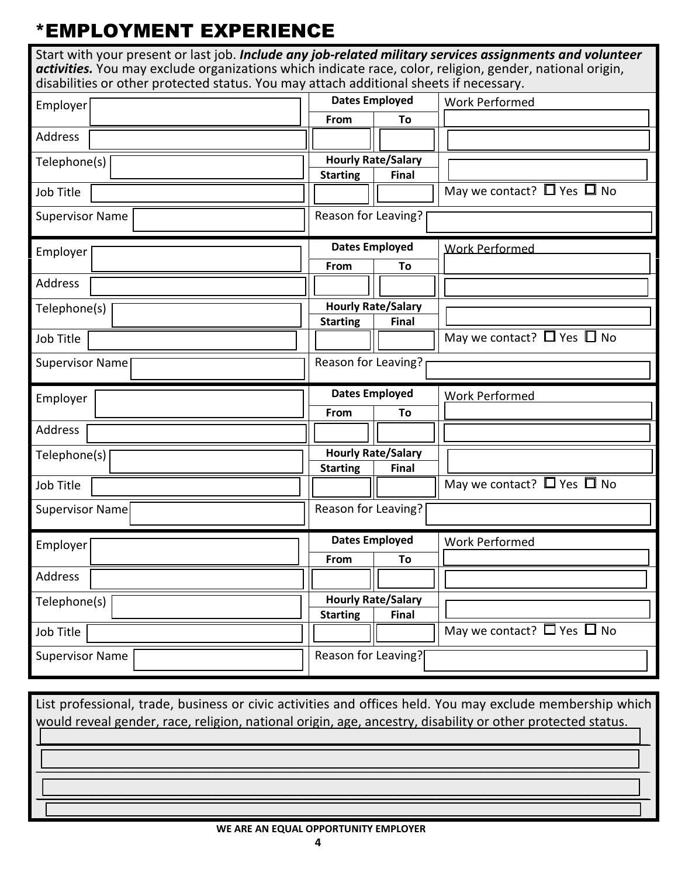# \*EMPLOYMENT EXPERIENCE

| Start with your present or last job. Include any job-related military services assignments and volunteer<br>activities. You may exclude organizations which indicate race, color, religion, gender, national origin,<br>disabilities or other protected status. You may attach additional sheets if necessary. |                                 |                                      |  |
|----------------------------------------------------------------------------------------------------------------------------------------------------------------------------------------------------------------------------------------------------------------------------------------------------------------|---------------------------------|--------------------------------------|--|
| Employer                                                                                                                                                                                                                                                                                                       | <b>Dates Employed</b>           | <b>Work Performed</b>                |  |
|                                                                                                                                                                                                                                                                                                                | From<br>To                      |                                      |  |
| Address                                                                                                                                                                                                                                                                                                        |                                 |                                      |  |
| Telephone(s)                                                                                                                                                                                                                                                                                                   | <b>Hourly Rate/Salary</b>       |                                      |  |
|                                                                                                                                                                                                                                                                                                                | <b>Starting</b><br><b>Final</b> |                                      |  |
| Job Title                                                                                                                                                                                                                                                                                                      |                                 | May we contact? $\Box$ Yes $\Box$ No |  |
| <b>Supervisor Name</b>                                                                                                                                                                                                                                                                                         | Reason for Leaving?             |                                      |  |
| Employer                                                                                                                                                                                                                                                                                                       | <b>Dates Employed</b>           | <b>Work Performed</b>                |  |
|                                                                                                                                                                                                                                                                                                                | From<br>To                      |                                      |  |
| Address                                                                                                                                                                                                                                                                                                        |                                 |                                      |  |
| Telephone(s)                                                                                                                                                                                                                                                                                                   | <b>Hourly Rate/Salary</b>       |                                      |  |
| Job Title                                                                                                                                                                                                                                                                                                      | <b>Starting</b><br><b>Final</b> | May we contact? $\Box$ Yes $\Box$ No |  |
|                                                                                                                                                                                                                                                                                                                |                                 |                                      |  |
| <b>Supervisor Name</b>                                                                                                                                                                                                                                                                                         | Reason for Leaving?             |                                      |  |
| Employer                                                                                                                                                                                                                                                                                                       | <b>Dates Employed</b>           | <b>Work Performed</b>                |  |
|                                                                                                                                                                                                                                                                                                                | From<br>To                      |                                      |  |
| Address                                                                                                                                                                                                                                                                                                        |                                 |                                      |  |
| Telephone(s)                                                                                                                                                                                                                                                                                                   | <b>Hourly Rate/Salary</b>       |                                      |  |
|                                                                                                                                                                                                                                                                                                                | <b>Starting</b><br><b>Final</b> |                                      |  |
| Job Title                                                                                                                                                                                                                                                                                                      |                                 | May we contact? $\Box$ Yes $\Box$ No |  |
| Supervisor Name                                                                                                                                                                                                                                                                                                | Reason for Leaving?             |                                      |  |
| Employer                                                                                                                                                                                                                                                                                                       | <b>Dates Employed</b>           | <b>Work Performed</b>                |  |
|                                                                                                                                                                                                                                                                                                                | From<br>To                      |                                      |  |
| Address                                                                                                                                                                                                                                                                                                        |                                 |                                      |  |
| Telephone(s)                                                                                                                                                                                                                                                                                                   | <b>Hourly Rate/Salary</b>       |                                      |  |
|                                                                                                                                                                                                                                                                                                                | <b>Starting</b><br>Final        |                                      |  |
| Job Title                                                                                                                                                                                                                                                                                                      |                                 | May we contact? $\Box$ Yes $\Box$ No |  |
| <b>Supervisor Name</b>                                                                                                                                                                                                                                                                                         | Reason for Leaving?             |                                      |  |

List professional, trade, business or civic activities and offices held. You may exclude membership which would reveal gender, race, religion, national origin, age, ancestry, disability or other protected status. *\_\_\_\_\_\_\_\_\_\_\_\_\_\_\_\_\_\_\_\_\_\_\_\_\_\_\_\_\_\_\_\_\_\_\_\_\_\_\_\_\_\_\_\_\_\_\_\_\_\_\_\_\_\_\_\_\_\_\_\_\_\_\_\_\_\_\_\_\_\_\_\_\_\_\_\_\_\_\_\_\_\_\_\_\_\_\_\_\_\_\_\_\_\_\_\_\_\_\_\_\_\_\_\_\_\_\_\_\_\_\_\_\_\_\_ \_\_\_\_\_\_\_\_\_\_\_\_\_\_\_\_\_\_\_\_\_\_\_\_\_\_\_\_\_\_\_\_\_\_\_\_\_\_\_\_\_\_\_\_\_\_\_\_\_\_\_\_\_\_\_\_\_\_\_\_\_\_\_\_\_\_\_\_\_\_\_\_\_\_\_\_\_\_\_\_\_\_\_\_\_\_\_\_\_\_\_\_\_\_\_\_\_\_\_\_\_\_\_\_\_\_\_\_\_\_\_\_\_\_\_ \_\_\_\_\_\_\_\_\_\_\_\_\_\_\_\_\_\_\_\_\_\_\_\_\_\_\_\_\_\_\_\_\_\_\_\_\_\_\_\_\_\_\_\_\_\_\_\_\_\_\_\_\_\_\_\_\_\_\_\_\_\_\_\_\_\_\_\_\_\_\_\_\_\_\_\_\_\_\_\_\_\_\_\_\_\_\_\_\_\_\_\_\_\_\_\_\_\_\_\_\_\_\_\_\_\_\_\_\_\_\_\_\_\_\_*

#### **WE ARE AN EQUAL OPPORTUNITY EMPLOYER**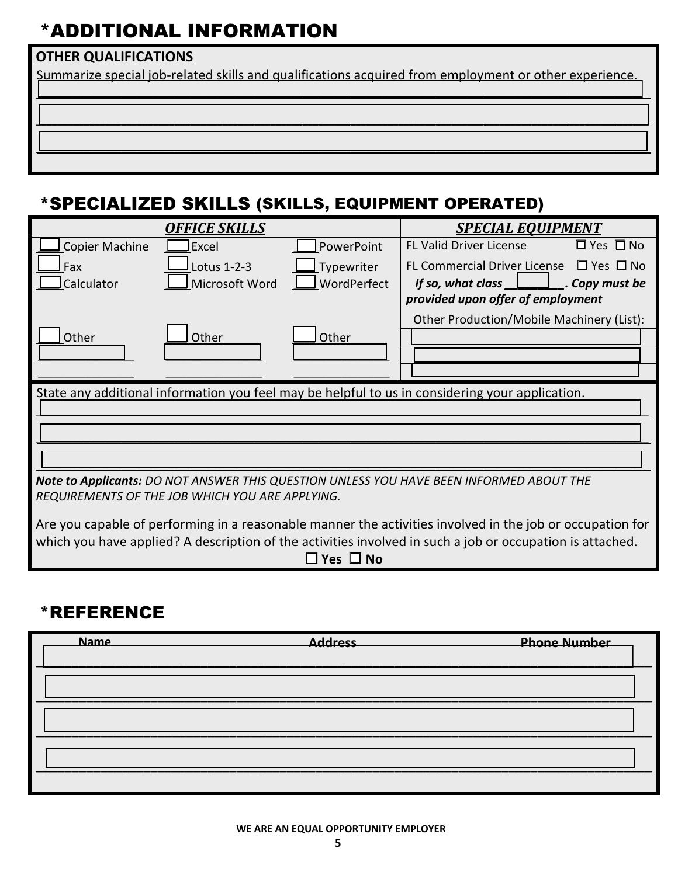# \*ADDITIONAL INFORMATION

### **OTHER QUALIFICATIONS**

Summarize special job-related skills and qualifications acquired from employment or other experience. *\_\_\_\_\_\_\_\_\_\_\_\_\_\_\_\_\_\_\_\_\_\_\_\_\_\_\_\_\_\_\_\_\_\_\_\_\_\_\_\_\_\_\_\_\_\_\_\_\_\_\_\_\_\_\_\_\_\_\_\_\_\_\_\_\_\_\_\_\_\_\_\_\_\_\_\_\_\_\_\_\_\_\_\_\_\_\_\_\_\_\_\_\_\_\_\_\_\_\_\_\_\_\_\_\_\_\_\_\_\_\_\_\_\_\_*

*\_\_\_\_\_\_\_\_\_\_\_\_\_\_\_\_\_\_\_\_\_\_\_\_\_\_\_\_\_\_\_\_\_\_\_\_\_\_\_\_\_\_\_\_\_\_\_\_\_\_\_\_\_\_\_\_\_\_\_\_\_\_\_\_\_\_\_\_\_\_\_\_\_\_\_\_\_\_\_\_\_\_\_\_\_\_\_\_\_\_\_\_\_\_\_\_\_\_\_\_\_\_\_\_\_\_\_\_\_\_\_\_\_\_\_*

*\_\_\_\_\_\_\_\_\_\_\_\_\_\_\_\_\_\_\_\_\_\_\_\_\_\_\_\_\_\_\_\_\_\_\_\_\_\_\_\_\_\_\_\_\_\_\_\_\_\_\_\_\_\_\_\_\_\_\_\_\_\_\_\_\_\_\_\_\_\_\_\_\_\_\_\_\_\_\_\_\_\_\_\_\_\_\_\_\_\_\_\_\_\_\_\_\_\_\_\_\_\_\_\_\_\_\_\_\_\_\_\_\_\_\_*

## \*SPECIALIZED SKILLS (SKILLS, EQUIPMENT OPERATED)

| <b>OFFICE SKILLS</b>                                                                                      | <b>SPECIAL EQUIPMENT</b>                                 |  |  |  |
|-----------------------------------------------------------------------------------------------------------|----------------------------------------------------------|--|--|--|
| FL Valid Driver License<br>Copier Machine<br>Excel<br>PowerPoint                                          | $\Box$ Yes $\Box$ No                                     |  |  |  |
| Lotus 1-2-3<br>Typewriter<br>Fax                                                                          | FL Commercial Driver License $\Box$ Yes $\Box$ No        |  |  |  |
| WordPerfect<br>Microsoft Word<br>Calculator                                                               | If so, what class $\Box$<br>$\mathcal{L}$ . Copy must be |  |  |  |
|                                                                                                           | provided upon offer of employment                        |  |  |  |
|                                                                                                           | Other Production/Mobile Machinery (List):                |  |  |  |
| Other<br>Other<br>Other                                                                                   |                                                          |  |  |  |
|                                                                                                           |                                                          |  |  |  |
|                                                                                                           |                                                          |  |  |  |
| State any additional information you feel may be helpful to us in considering your application.           |                                                          |  |  |  |
|                                                                                                           |                                                          |  |  |  |
|                                                                                                           |                                                          |  |  |  |
|                                                                                                           |                                                          |  |  |  |
|                                                                                                           |                                                          |  |  |  |
| Note to Applicants: DO NOT ANSWER THIS QUESTION UNLESS YOU HAVE BEEN INFORMED ABOUT THE                   |                                                          |  |  |  |
| REQUIREMENTS OF THE JOB WHICH YOU ARE APPLYING.                                                           |                                                          |  |  |  |
| Are you capable of performing in a reasonable manner the activities involved in the job or occupation for |                                                          |  |  |  |
|                                                                                                           |                                                          |  |  |  |

### **Yes No**

### \*REFERENCE

| <b>Name</b> | <b>Address</b> | <b>Phone Number</b> |
|-------------|----------------|---------------------|
|             |                |                     |
|             |                |                     |
|             |                |                     |
|             |                |                     |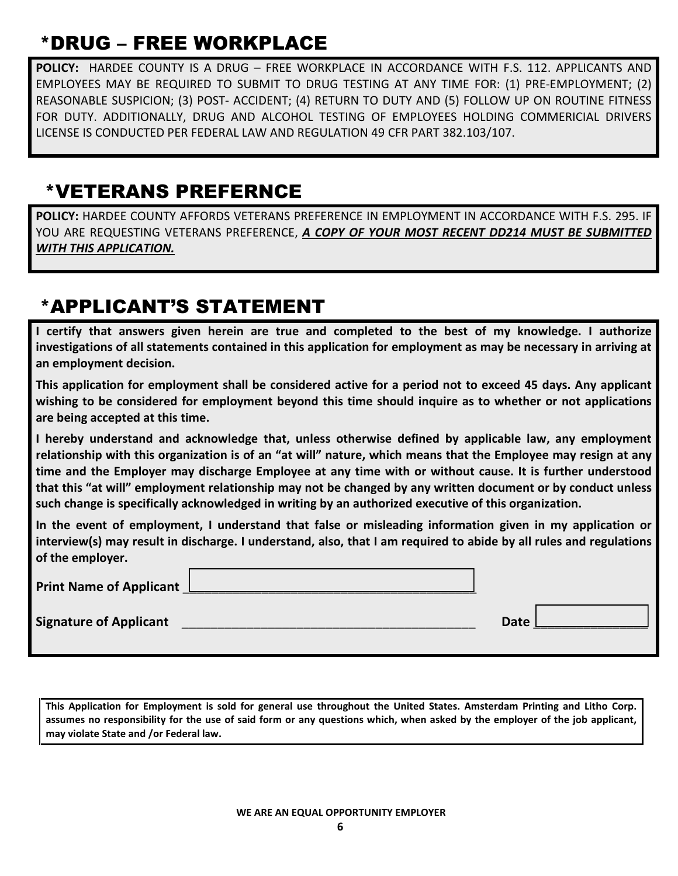# \*DRUG – FREE WORKPLACE

**POLICY:** HARDEE COUNTY IS A DRUG – FREE WORKPLACE IN ACCORDANCE WITH F.S. 112. APPLICANTS AND EMPLOYEES MAY BE REQUIRED TO SUBMIT TO DRUG TESTING AT ANY TIME FOR: (1) PRE-EMPLOYMENT; (2) REASONABLE SUSPICION; (3) POST- ACCIDENT; (4) RETURN TO DUTY AND (5) FOLLOW UP ON ROUTINE FITNESS FOR DUTY. ADDITIONALLY, DRUG AND ALCOHOL TESTING OF EMPLOYEES HOLDING COMMERICIAL DRIVERS LICENSE IS CONDUCTED PER FEDERAL LAW AND REGULATION 49 CFR PART 382.103/107.

## \*VETERANS PREFERNCE

**POLICY:** HARDEE COUNTY AFFORDS VETERANS PREFERENCE IN EMPLOYMENT IN ACCORDANCE WITH F.S. 295. IF YOU ARE REQUESTING VETERANS PREFERENCE, *A COPY OF YOUR MOST RECENT DD214 MUST BE SUBMITTED WITH THIS APPLICATION.* 

# \*APPLICANT'S STATEMENT

**I certify that answers given herein are true and completed to the best of my knowledge. I authorize investigations of all statements contained in this application for employment as may be necessary in arriving at an employment decision.** 

**This application for employment shall be considered active for a period not to exceed 45 days. Any applicant wishing to be considered for employment beyond this time should inquire as to whether or not applications are being accepted at this time.** 

**I hereby understand and acknowledge that, unless otherwise defined by applicable law, any employment relationship with this organization is of an "at will" nature, which means that the Employee may resign at any time and the Employer may discharge Employee at any time with or without cause. It is further understood that this "at will" employment relationship may not be changed by any written document or by conduct unless such change is specifically acknowledged in writing by an authorized executive of this organization.** 

**In the event of employment, I understand that false or misleading information given in my application or interview(s) may result in discharge. I understand, also, that I am required to abide by all rules and regulations of the employer.** 

| <b>Print Name of Applicant</b> |             |  |
|--------------------------------|-------------|--|
| <b>Signature of Applicant</b>  | <b>Date</b> |  |

**This Application for Employment is sold for general use throughout the United States. Amsterdam Printing and Litho Corp. assumes no responsibility for the use of said form or any questions which, when asked by the employer of the job applicant, may violate State and /or Federal law.**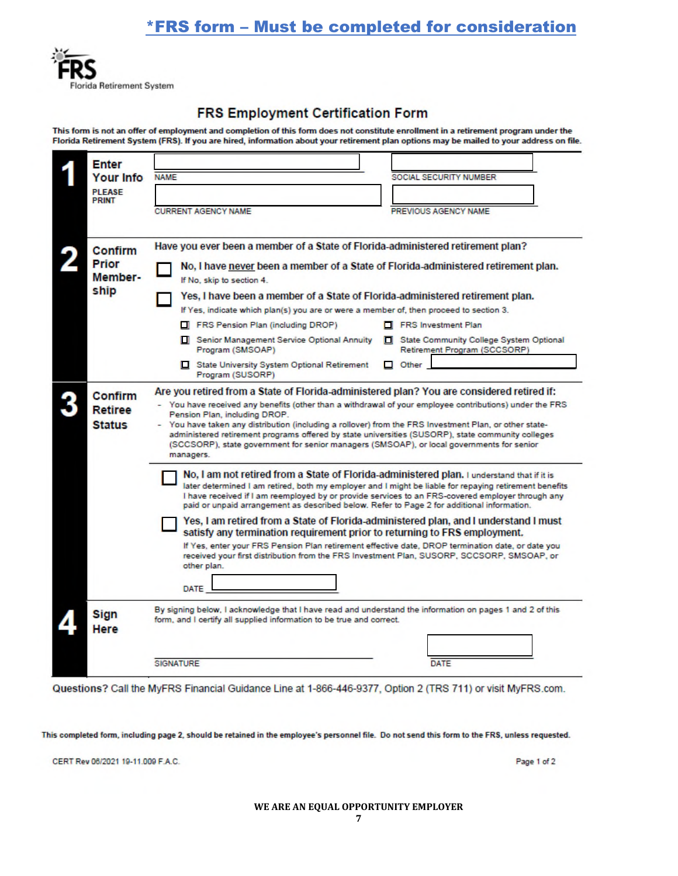### \*FRS form – Must be completed for consideration



#### **FRS Employment Certification Form**

This form is not an offer of employment and completion of this form does not constitute enrollment in a retirement program under the Florida Retirement System (FRS). If you are hired, information about your retirement plan options may be mailed to your address on file.

| <b>Enter</b>                    |                                                                                                                                                                                                                                                                                                                                                                                                                                                                                                                                                                                                                                                                                                                                                                                |                                                                         |  |
|---------------------------------|--------------------------------------------------------------------------------------------------------------------------------------------------------------------------------------------------------------------------------------------------------------------------------------------------------------------------------------------------------------------------------------------------------------------------------------------------------------------------------------------------------------------------------------------------------------------------------------------------------------------------------------------------------------------------------------------------------------------------------------------------------------------------------|-------------------------------------------------------------------------|--|
| <b>Your Info</b>                | <b>NAME</b>                                                                                                                                                                                                                                                                                                                                                                                                                                                                                                                                                                                                                                                                                                                                                                    | SOCIAL SECURITY NUMBER                                                  |  |
| <b>PLEASE</b>                   |                                                                                                                                                                                                                                                                                                                                                                                                                                                                                                                                                                                                                                                                                                                                                                                |                                                                         |  |
| <b>PRINT</b>                    | <b>CURRENT AGENCY NAME</b>                                                                                                                                                                                                                                                                                                                                                                                                                                                                                                                                                                                                                                                                                                                                                     | PREVIOUS AGENCY NAME                                                    |  |
|                                 |                                                                                                                                                                                                                                                                                                                                                                                                                                                                                                                                                                                                                                                                                                                                                                                |                                                                         |  |
| Confirm                         | Have you ever been a member of a State of Florida-administered retirement plan?                                                                                                                                                                                                                                                                                                                                                                                                                                                                                                                                                                                                                                                                                                |                                                                         |  |
| Prior<br>Member-                | No, I have never been a member of a State of Florida-administered retirement plan.<br>If No. skip to section 4.                                                                                                                                                                                                                                                                                                                                                                                                                                                                                                                                                                                                                                                                |                                                                         |  |
| ship                            | Yes, I have been a member of a State of Florida-administered retirement plan.                                                                                                                                                                                                                                                                                                                                                                                                                                                                                                                                                                                                                                                                                                  |                                                                         |  |
|                                 | If Yes, indicate which plan(s) you are or were a member of, then proceed to section 3.                                                                                                                                                                                                                                                                                                                                                                                                                                                                                                                                                                                                                                                                                         |                                                                         |  |
|                                 | FRS Pension Plan (including DROP)                                                                                                                                                                                                                                                                                                                                                                                                                                                                                                                                                                                                                                                                                                                                              | FRS Investment Plan                                                     |  |
|                                 | Senior Management Service Optional Annuity<br>Program (SMSOAP)                                                                                                                                                                                                                                                                                                                                                                                                                                                                                                                                                                                                                                                                                                                 | State Community College System Optional<br>Retirement Program (SCCSORP) |  |
|                                 | State University System Optional Retirement<br>Program (SUSORP)                                                                                                                                                                                                                                                                                                                                                                                                                                                                                                                                                                                                                                                                                                                | $\Box$ Other                                                            |  |
| Confirm                         | Are you retired from a State of Florida-administered plan? You are considered retired if:                                                                                                                                                                                                                                                                                                                                                                                                                                                                                                                                                                                                                                                                                      |                                                                         |  |
| <b>Retiree</b><br><b>Status</b> | - You have received any benefits (other than a withdrawal of your employee contributions) under the FRS<br>Pension Plan, including DROP.<br>- You have taken any distribution (including a rollover) from the FRS Investment Plan, or other state-<br>administered retirement programs offered by state universities (SUSORP), state community colleges<br>(SCCSORP), state government for senior managers (SMSOAP), or local governments for senior<br>managers.                                                                                                                                                                                                                                                                                                              |                                                                         |  |
|                                 | No, I am not retired from a State of Florida-administered plan. I understand that if it is<br>later determined I am retired, both my employer and I might be liable for repaying retirement benefits<br>I have received if I am reemployed by or provide services to an FRS-covered employer through any<br>paid or unpaid arrangement as described below. Refer to Page 2 for additional information.<br>Yes, I am retired from a State of Florida-administered plan, and I understand I must<br>satisfy any termination requirement prior to returning to FRS employment.<br>If Yes, enter your FRS Pension Plan retirement effective date, DROP termination date, or date you<br>received your first distribution from the FRS Investment Plan, SUSORP, SCCSORP, SMSOAP, or |                                                                         |  |
|                                 | other plan.<br>DATE                                                                                                                                                                                                                                                                                                                                                                                                                                                                                                                                                                                                                                                                                                                                                            |                                                                         |  |
| <b>Sign</b><br>Here             | By signing below, I acknowledge that I have read and understand the information on pages 1 and 2 of this<br>form, and I certify all supplied information to be true and correct.                                                                                                                                                                                                                                                                                                                                                                                                                                                                                                                                                                                               |                                                                         |  |
|                                 | <b>SIGNATURE</b>                                                                                                                                                                                                                                                                                                                                                                                                                                                                                                                                                                                                                                                                                                                                                               | DATE                                                                    |  |

Questions? Call the MyFRS Financial Guidance Line at 1-866-446-9377, Option 2 (TRS 711) or visit MyFRS.com.

This completed form, including page 2, should be retained in the employee's personnel file. Do not send this form to the FRS, unless requested.

CERT Rev 06/2021 19-11.009 F.A.C.

Page 1 of 2